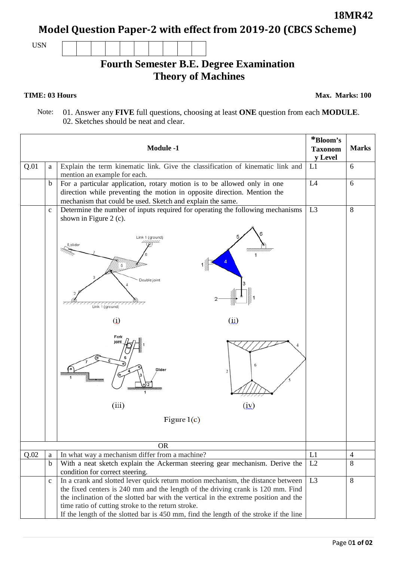Page 0**1 of 02**

**Model Question Paper-2 with effect from 2019-20 (CBCS Scheme)**

USN

## **Fourth Semester B.E. Degree Examination Theory of Machines**

## **TIME: 03 Hours**

**Max. Marks: 100**

 Note: 01. Answer any **FIVE** full questions, choosing at least **ONE** question from each **MODULE**. 02. Sketches should be neat and clear.

| <b>Module -1</b> |                  |                                                                                       | *Bloom's       | <b>Marks</b>   |
|------------------|------------------|---------------------------------------------------------------------------------------|----------------|----------------|
|                  |                  | <b>Taxonom</b><br>y Level                                                             |                |                |
| Q.01             | a                | Explain the term kinematic link. Give the classification of kinematic link and        | L1             | 6              |
|                  |                  | mention an example for each.                                                          |                |                |
|                  | b                | For a particular application, rotary motion is to be allowed only in one              | L4             | 6              |
|                  |                  | direction while preventing the motion in opposite direction. Mention the              |                |                |
|                  |                  | mechanism that could be used. Sketch and explain the same.                            |                |                |
|                  | $\mathbf c$      | Determine the number of inputs required for operating the following mechanisms        | L3             | 8              |
|                  |                  | shown in Figure 2 (c).                                                                |                |                |
|                  |                  | Link 1 (ground)<br>8,slider<br>Double joint<br>Link 1 (ground)<br>(i)<br>$\omega$     |                |                |
|                  |                  | Fork<br>joint<br>Slider<br>1<br>(iii)<br>(iy)<br>Figure $1(c)$                        |                |                |
|                  |                  |                                                                                       |                |                |
|                  |                  | <b>OR</b>                                                                             |                |                |
| Q.02             |                  | In what way a mechanism differ from a machine?                                        | L1             | $\overline{4}$ |
|                  | a<br>$\mathbf b$ | With a neat sketch explain the Ackerman steering gear mechanism. Derive the           | L2             | 8              |
|                  |                  | condition for correct steering.                                                       |                |                |
|                  | $\mathbf c$      | In a crank and slotted lever quick return motion mechanism, the distance between      | L <sub>3</sub> | 8              |
|                  |                  | the fixed centers is 240 mm and the length of the driving crank is 120 mm. Find       |                |                |
|                  |                  | the inclination of the slotted bar with the vertical in the extreme position and the  |                |                |
|                  |                  | time ratio of cutting stroke to the return stroke.                                    |                |                |
|                  |                  | If the length of the slotted bar is 450 mm, find the length of the stroke if the line |                |                |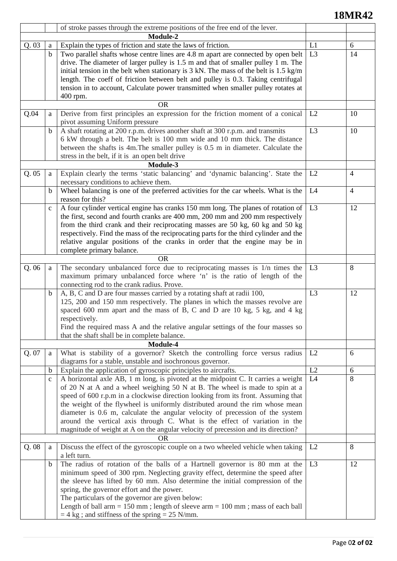## **18MR42**

|       |             | of stroke passes through the extreme positions of the free end of the lever.                               |                |                |
|-------|-------------|------------------------------------------------------------------------------------------------------------|----------------|----------------|
|       | Module-2    |                                                                                                            |                |                |
| Q.03  | a           | Explain the types of friction and state the laws of friction.                                              | L1             | 6              |
|       | $\mathbf b$ | Two parallel shafts whose centre lines are 4.8 m apart are connected by open belt                          | L <sub>3</sub> | 14             |
|       |             | drive. The diameter of larger pulley is 1.5 m and that of smaller pulley 1 m. The                          |                |                |
|       |             | initial tension in the belt when stationary is $3 \text{ kN}$ . The mass of the belt is $1.5 \text{ kg/m}$ |                |                |
|       |             | length. The coeff of friction between belt and pulley is 0.3. Taking centrifugal                           |                |                |
|       |             | tension in to account, Calculate power transmitted when smaller pulley rotates at                          |                |                |
|       |             | 400 rpm.                                                                                                   |                |                |
|       |             | <b>OR</b>                                                                                                  |                |                |
| Q.04  | a           | Derive from first principles an expression for the friction moment of a conical                            | L2             | 10             |
|       |             | pivot assuming Uniform pressure                                                                            |                |                |
|       | b           | A shaft rotating at 200 r.p.m. drives another shaft at 300 r.p.m. and transmits                            | L <sub>3</sub> | 10             |
|       |             | 6 kW through a belt. The belt is 100 mm wide and 10 mm thick. The distance                                 |                |                |
|       |             |                                                                                                            |                |                |
|       |             | between the shafts is 4m. The smaller pulley is 0.5 m in diameter. Calculate the                           |                |                |
|       |             | stress in the belt, if it is an open belt drive                                                            |                |                |
|       |             | Module-3                                                                                                   |                |                |
| Q. 05 | a           | Explain clearly the terms 'static balancing' and 'dynamic balancing'. State the                            | L2             | $\overline{4}$ |
|       |             | necessary conditions to achieve them.                                                                      |                |                |
|       | b           | Wheel balancing is one of the preferred activities for the car wheels. What is the                         | L4             | $\overline{4}$ |
|       |             | reason for this?                                                                                           |                |                |
|       | $\mathbf c$ | A four cylinder vertical engine has cranks 150 mm long. The planes of rotation of                          | L <sub>3</sub> | 12             |
|       |             | the first, second and fourth cranks are 400 mm, 200 mm and 200 mm respectively                             |                |                |
|       |             | from the third crank and their reciprocating masses are 50 kg, 60 kg and 50 kg                             |                |                |
|       |             | respectively. Find the mass of the reciprocating parts for the third cylinder and the                      |                |                |
|       |             | relative angular positions of the cranks in order that the engine may be in                                |                |                |
|       |             | complete primary balance.                                                                                  |                |                |
|       |             | <b>OR</b>                                                                                                  |                |                |
| Q.06  | a           | The secondary unbalanced force due to reciprocating masses is 1/n times the                                | L <sub>3</sub> | 8              |
|       |             | maximum primary unbalanced force where 'n' is the ratio of length of the                                   |                |                |
|       |             | connecting rod to the crank radius. Prove.                                                                 |                |                |
|       |             |                                                                                                            | L <sub>3</sub> | 12             |
|       | b           | A, B, C and D are four masses carried by a rotating shaft at radii 100,                                    |                |                |
|       |             | 125, 200 and 150 mm respectively. The planes in which the masses revolve are                               |                |                |
|       |             | spaced 600 mm apart and the mass of B, C and D are 10 kg, 5 kg, and 4 kg                                   |                |                |
|       |             | respectively.                                                                                              |                |                |
|       |             | Find the required mass A and the relative angular settings of the four masses so                           |                |                |
|       |             | that the shaft shall be in complete balance.                                                               |                |                |
|       |             | <b>Module-4</b>                                                                                            |                |                |
| Q. 07 | a           | What is stability of a governor? Sketch the controlling force versus radius                                | L2             | 6              |
|       |             | diagrams for a stable, unstable and isochronous governor.                                                  |                |                |
|       | b           | Explain the application of gyroscopic principles to aircrafts.                                             | L2             | 6              |
|       | $\mathbf C$ | A horizontal axle AB, 1 m long, is pivoted at the midpoint C. It carries a weight                          | L4             | 8              |
|       |             | of 20 N at A and a wheel weighing 50 N at B. The wheel is made to spin at a                                |                |                |
|       |             | speed of 600 r.p.m in a clockwise direction looking from its front. Assuming that                          |                |                |
|       |             | the weight of the flywheel is uniformly distributed around the rim whose mean                              |                |                |
|       |             | diameter is 0.6 m, calculate the angular velocity of precession of the system                              |                |                |
|       |             | around the vertical axis through C. What is the effect of variation in the                                 |                |                |
|       |             | magnitude of weight at A on the angular velocity of precession and its direction?                          |                |                |
|       |             | <b>OR</b>                                                                                                  |                |                |
| Q.08  | a           | Discuss the effect of the gyroscopic couple on a two wheeled vehicle when taking                           | L2             | 8              |
|       |             | a left turn.                                                                                               |                |                |
|       |             |                                                                                                            | L <sub>3</sub> |                |
|       | b           | The radius of rotation of the balls of a Hartnell governor is 80 mm at the                                 |                | 12             |
|       |             | minimum speed of 300 rpm. Neglecting gravity effect, determine the speed after                             |                |                |
|       |             | the sleeve has lifted by 60 mm. Also determine the initial compression of the                              |                |                |
|       |             | spring, the governor effort and the power.                                                                 |                |                |
|       |             | The particulars of the governor are given below:                                                           |                |                |
|       |             | Length of ball arm = $150$ mm; length of sleeve arm = $100$ mm; mass of each ball                          |                |                |
|       |             | $=$ 4 kg ; and stiffness of the spring $=$ 25 N/mm.                                                        |                |                |